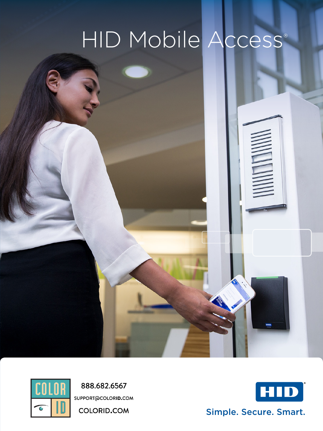# HID Mobile Access®





888.682.6567 SUPPORT@COLORID.COM

**COLORID.COM** 



Simple. Secure. Smart.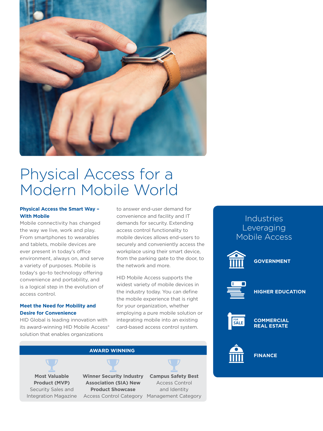

## Physical Access for a Modern Mobile World

#### **Physical Access the Smart Way – With Mobile**

Mobile connectivity has changed the way we live, work and play. From smartphones to wearables and tablets, mobile devices are ever present in today's office environment, always on, and serve a variety of purposes. Mobile is today's go-to technology offering convenience and portability, and is a logical step in the evolution of access control.

#### **Meet the Need for Mobility and Desire for Convenience**

HID Global is leading innovation with its award-winning HID Mobile Access® solution that enables organizations

to answer end-user demand for convenience and facility and IT demands for security. Extending access control functionality to mobile devices allows end-users to securely and conveniently access the workplace using their smart device, from the parking gate to the door, to the network and more.

HID Mobile Access supports the widest variety of mobile devices in the industry today. You can define the mobile experience that is right for your organization, whether employing a pure mobile solution or integrating mobile into an existing card-based access control system.



### **Industries** Leveraging Mobile Access







**HIGHER EDUCATION**



**COMMERCIAL REAL ESTATE**



**FINANCE**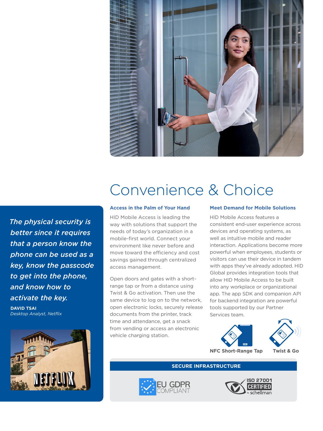

### *The physical security is better since it requires that a person know the phone can be used as a key, know the passcode to get into the phone, and know how to activate the key.*

**DAVID TSAI** *Desktop Analyst, Netflix*



# Convenience & Choice

#### **Access in the Palm of Your Hand**

HID Mobile Access is leading the way with solutions that support the needs of today's organization in a mobile-first world. Connect your environment like never before and move toward the efficiency and cost savings gained through centralized access management.

Open doors and gates with a shortrange tap or from a distance using Twist & Go activation. Then use the same device to log on to the network, open electronic locks, securely release documents from the printer, track time and attendance, get a snack from vending or access an electronic vehicle charging station.

#### **Meet Demand for Mobile Solutions**

HID Mobile Access features a consistent end-user experience across devices and operating systems, as well as intuitive mobile and reader interaction. Applications become more powerful when employees, students or visitors can use their device in tandem with apps they've already adopted. HID Global provides integration tools that allow HID Mobile Access to be built into any workplace or organizational app. The app SDK and companion API for backend integration are powerful tools supported by our Partner Services team.



#### **SECURE INFRASTRUCTURE**



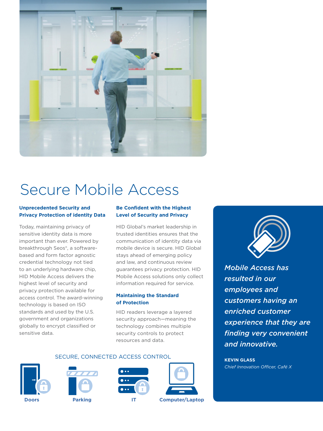

# Secure Mobile Access

#### **Unprecedented Security and Privacy Protection of identity Data**

Today, maintaining privacy of sensitive identity data is more important than ever. Powered by breakthrough Seos®, a softwarebased and form factor agnostic credential technology not tied to an underlying hardware chip, HID Mobile Access delivers the highest level of security and privacy protection available for access control. The award-winning technology is based on ISO standards and used by the U.S. government and organizations globally to encrypt classified or sensitive data.

#### **Be Confident with the Highest Level of Security and Privacy**

HID Global's market leadership in trusted identities ensures that the communication of identity data via mobile device is secure. HID Global stays ahead of emerging policy and law, and continuous review guarantees privacy protection. HID Mobile Access solutions only collect information required for service.

#### **Maintaining the Standard of Protection**

HID readers leverage a layered security approach—meaning the technology combines multiple security controls to protect resources and data.

SECURE, CONNECTED ACCESS CONTROL











*Mobile Access has resulted in our employees and customers having an enriched customer experience that they are finding very convenient and innovative.*

**KEVIN GLASS** *Chief Innovation Officer, Café X*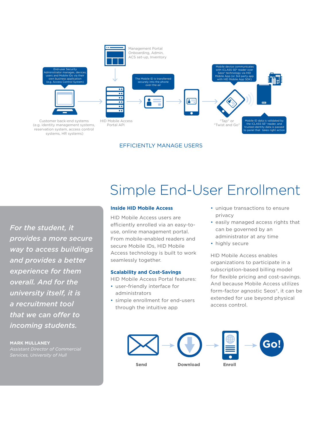

EFFICIENTLY MANAGE USERS

*For the student, it provides a more secure way to access buildings and provides a better experience for them overall. And for the university itself, it is a recruitment tool that we can offer to incoming students.*

**MARK MULLANEY**

### *Services, University of Hull*

## Simple End-User Enrollment

#### **Inside HID Mobile Access**

HID Mobile Access users are efficiently enrolled via an easy-touse, online management portal. From mobile-enabled readers and secure Mobile IDs, HID Mobile Access technology is built to work seamlessly together.

#### **Scalability and Cost-Savings**

HID Mobile Access Portal features:

- user-friendly interface for administrators
- simple enrollment for end-users through the intuitive app
- unique transactions to ensure privacy
- easily managed access rights that can be governed by an administrator at any time
- highly secure

HID Mobile Access enables organizations to participate in a subscription-based billing model for flexible pricing and cost-savings. And because Mobile Access utilizes form-factor agnostic Seos®, it can be extended for use beyond physical access control.